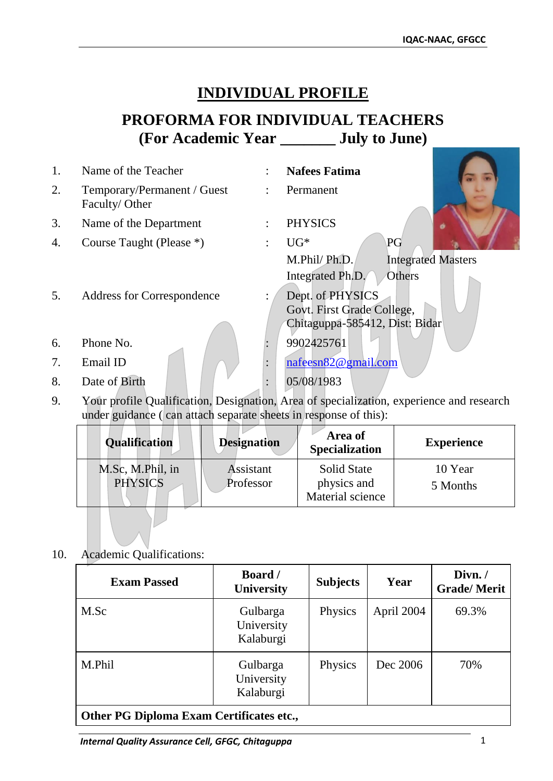## **INDIVIDUAL PROFILE**

## **PROFORMA FOR INDIVIDUAL TEACHERS (For Academic Year \_\_\_\_\_\_\_ July to June)**

| 1. | Name of the Teacher                          | <b>Nafees Fatima</b>                      |
|----|----------------------------------------------|-------------------------------------------|
| 2. | Temporary/Permanent / Guest<br>Faculty/Other | Permanent                                 |
| 3. | Name of the Department                       | <b>PHYSICS</b>                            |
| 4. | Course Taught (Please *)                     | PG<br>$UG*$                               |
|    |                                              | M.Phil/Ph.D.<br><b>Integrated Masters</b> |
|    |                                              | Integrated Ph.D.<br>Others                |
| 5. | <b>Address for Correspondence</b>            | Dept. of PHYSICS                          |
|    |                                              | Govt. First Grade College,                |
|    |                                              | Chitaguppa-585412, Dist: Bidar            |
| 6. | Phone No.                                    | 9902425761                                |
| 7. | Email ID                                     | nafeesn82@gmail.com                       |
| 8. | Date of Birth                                | 05/08/1983                                |

9. Your profile Qualification, Designation, Area of specialization, experience and research under guidance ( can attach separate sheets in response of this):

| <b>Qualification</b>               | <b>Designation</b>     | Area of<br><b>Specialization</b>                      | <b>Experience</b>   |
|------------------------------------|------------------------|-------------------------------------------------------|---------------------|
| M.Sc, M.Phil, in<br><b>PHYSICS</b> | Assistant<br>Professor | <b>Solid State</b><br>physics and<br>Material science | 10 Year<br>5 Months |

10. Academic Qualifications:

| <b>Exam Passed</b>                              | <b>Board</b> /<br><b>University</b> | <b>Subjects</b> | Year       | Divn./<br><b>Grade/Merit</b> |
|-------------------------------------------------|-------------------------------------|-----------------|------------|------------------------------|
| M.Sc                                            | Gulbarga<br>University<br>Kalaburgi | Physics         | April 2004 | 69.3%                        |
| M.Phil                                          | Gulbarga<br>University<br>Kalaburgi | Physics         | Dec 2006   | 70%                          |
| <b>Other PG Diploma Exam Certificates etc.,</b> |                                     |                 |            |                              |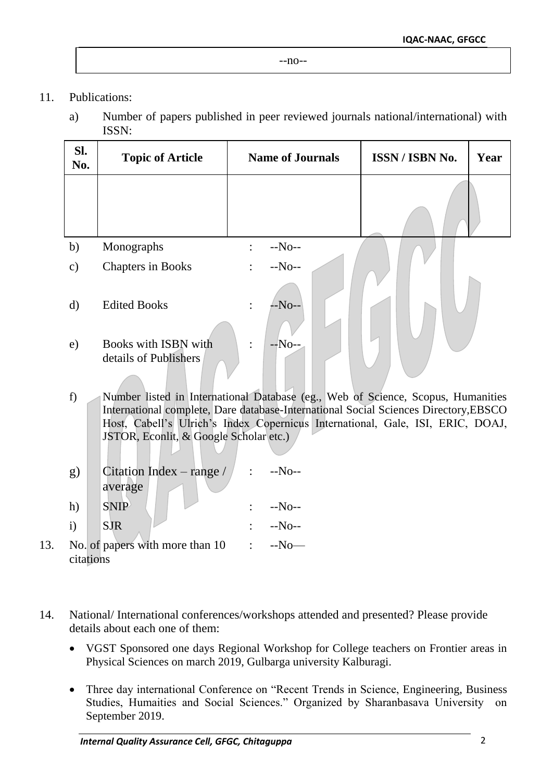- 11. Publications:
	- a) Number of papers published in peer reviewed journals national/international) with ISSN:

| SI.<br>No.    | <b>Topic of Article</b>                       | <b>Name of Journals</b>  | ISSN / ISBN No. | Year |
|---------------|-----------------------------------------------|--------------------------|-----------------|------|
|               |                                               |                          |                 |      |
| b)            | Monographs                                    | $-No-$<br>$\ddot{\cdot}$ |                 |      |
| $\mathbf{c})$ | <b>Chapters in Books</b>                      | $-No-$<br>$\ddot{\cdot}$ |                 |      |
| $\rm d)$      | <b>Edited Books</b>                           | --No--<br>$\ddot{\cdot}$ |                 |      |
| e)            | Books with ISBN with<br>details of Publishers | $-No-$<br>$\bullet$      |                 |      |

- f) Number listed in International Database (eg., Web of Science, Scopus, Humanities International complete, Dare database-International Social Sciences Directory,EBSCO Host, Cabell's Ulrich's Index Copernicus International, Gale, ISI, ERIC, DOAJ, JSTOR, Econlit, & Google Scholar etc.)
- g) Citation Index range / average : --No- h)  $SNIP$  :  $-NO-1$
- i)  $SJR$  :  $-No-1$ 13. No. of papers with more than 10 citations : --No—
- 14. National/ International conferences/workshops attended and presented? Please provide details about each one of them:
	- VGST Sponsored one days Regional Workshop for College teachers on Frontier areas in Physical Sciences on march 2019, Gulbarga university Kalburagi.
	- Three day international Conference on "Recent Trends in Science, Engineering, Business Studies, Humaities and Social Sciences." Organized by Sharanbasava University on September 2019.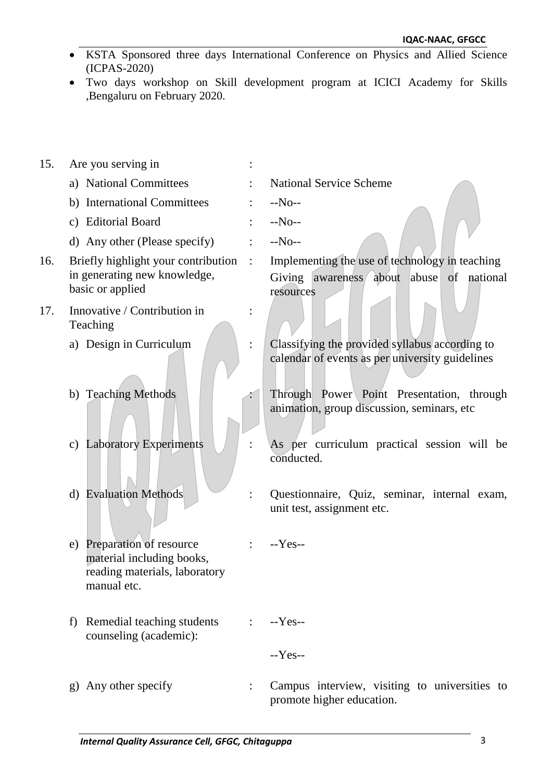- KSTA Sponsored three days International Conference on Physics and Allied Science (ICPAS-2020)
- Two days workshop on Skill development program at ICICI Academy for Skills ,Bengaluru on February 2020.
- 15. Are you serving in : a) National Committees : National Service Scheme b) International Committees : --No- c) Editorial Board : --No- d) Any other (Please specify) : --No-- 16. Briefly highlight your contribution in generating new knowledge, basic or applied : Implementing the use of technology in teaching Giving awareness about abuse of national resources 17. Innovative / Contribution in Teaching : a) Design in Curriculum : Classifying the provided syllabus according to calendar of events as per university guidelines b) Teaching Methods : Through Power Point Presentation, through the Power Point Presentation, through animation, group discussion, seminars, etc c) Laboratory Experiments : As per curriculum practical session will be conducted. d) Evaluation Methods : Questionnaire, Quiz, seminar, internal exam, unit test, assignment etc. e) Preparation of resource material including books, reading materials, laboratory manual etc. : --Yes- f) Remedial teaching students counseling (academic): : --Yes-- --Yes- g) Any other specify : Campus interview, visiting to universities to promote higher education.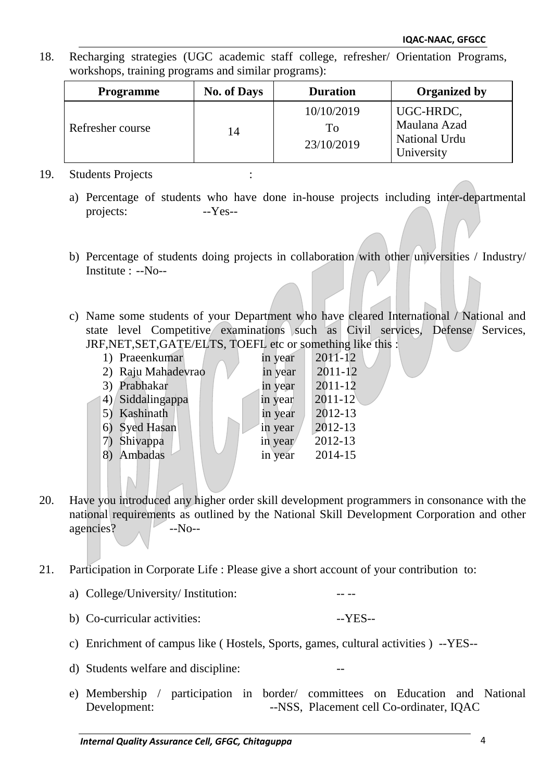18. Recharging strategies (UGC academic staff college, refresher/ Orientation Programs, workshops, training programs and similar programs):

| <b>Programme</b> | <b>No. of Days</b> | <b>Duration</b>                | <b>Organized by</b>                                      |
|------------------|--------------------|--------------------------------|----------------------------------------------------------|
| Refresher course | 14                 | 10/10/2019<br>To<br>23/10/2019 | UGC-HRDC,<br>Maulana Azad<br>National Urdu<br>University |

## 19. Students Projects :

- a) Percentage of students who have done in-house projects including inter-departmental projects: -- Yes--
- b) Percentage of students doing projects in collaboration with other universities / Industry/ Institute : --No--
- c) Name some students of your Department who have cleared International / National and state level Competitive examinations such as Civil services, Defense Services, JRF,NET,SET,GATE/ELTS, TOEFL etc or something like this :

| 1) Praeenkumar     | in year | $2011 - 12$ |
|--------------------|---------|-------------|
| 2) Raju Mahadevrao | in year | $2011 - 12$ |
| 3) Prabhakar       | in year | $2011 - 12$ |
| 4) Siddalingappa   | in year | $2011 - 12$ |
| 5) Kashinath       | in year | 2012-13     |
| Syed Hasan<br>6)   | in year | 2012-13     |
| Shivappa<br>7)     | in year | 2012-13     |
| Ambadas            | in year | 2014-15     |
|                    |         |             |

- 20. Have you introduced any higher order skill development programmers in consonance with the national requirements as outlined by the National Skill Development Corporation and other agencies? --No--
- 21. Participation in Corporate Life : Please give a short account of your contribution to:
	- a) College/University/ Institution:
	- b) Co-curricular activities: -- YES--
	- c) Enrichment of campus like ( Hostels, Sports, games, cultural activities ) --YES--
	- d) Students welfare and discipline:
	- e) Membership / participation in border/ committees on Education and National Development: --NSS, Placement cell Co-ordinater, IQAC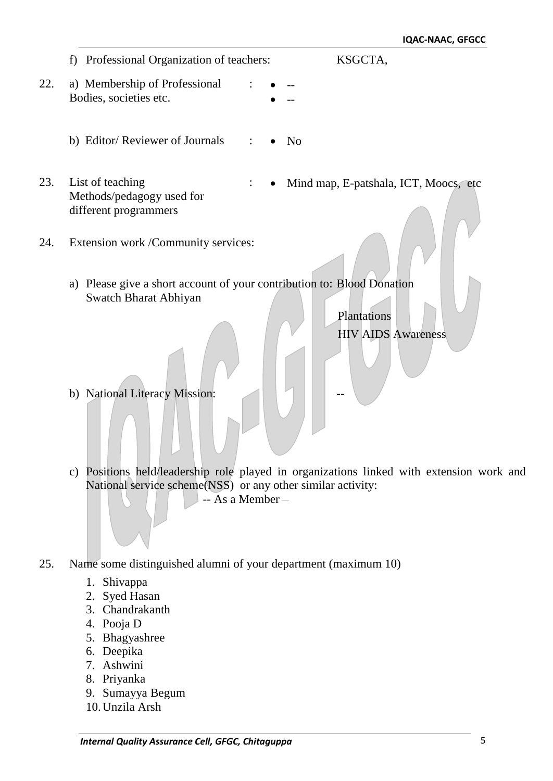|     |                                                                                                  | IUAL-IVAAL, UFULL                                                                     |
|-----|--------------------------------------------------------------------------------------------------|---------------------------------------------------------------------------------------|
|     | Professional Organization of teachers:<br>f                                                      | KSGCTA,                                                                               |
| 22. | a) Membership of Professional<br>Bodies, societies etc.                                          |                                                                                       |
|     | b) Editor/ Reviewer of Journals                                                                  | N <sub>o</sub>                                                                        |
| 23. | List of teaching<br>Methods/pedagogy used for<br>different programmers                           | Mind map, E-patshala, ICT, Moocs, etc                                                 |
| 24. | Extension work /Community services:                                                              |                                                                                       |
|     | a) Please give a short account of your contribution to: Blood Donation<br>Swatch Bharat Abhiyan  | Plantations<br><b>HIV AIDS Awareness</b>                                              |
|     | b) National Literacy Mission:                                                                    |                                                                                       |
|     | $\mathbf{c})$<br>National service scheme(NSS) or any other similar activity:<br>-- As a Member - | Positions held/leadership role played in organizations linked with extension work and |

- 25. Name some distinguished alumni of your department (maximum 10)
	- 1. Shivappa
	- 2. Syed Hasan
	- 3. Chandrakanth
	- 4. Pooja D
	- 5. Bhagyashree
	- 6. Deepika
	- 7. Ashwini
	- 8. Priyanka
	- 9. Sumayya Begum
	- 10.Unzila Arsh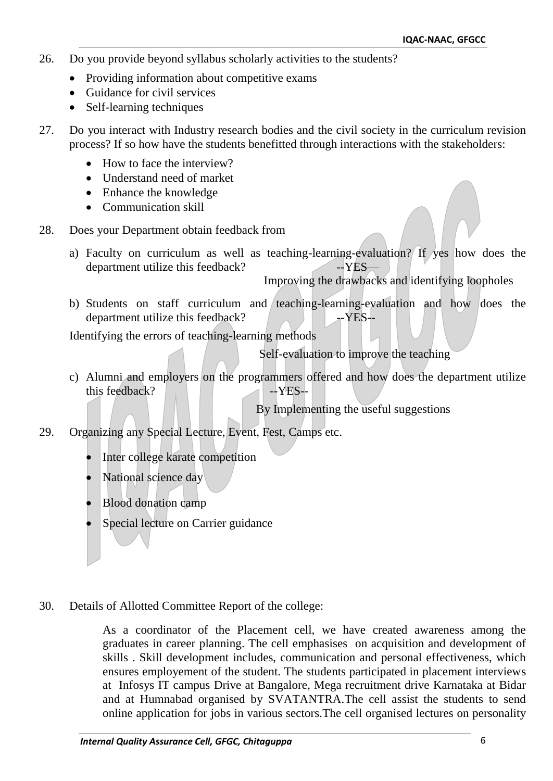- 26. Do you provide beyond syllabus scholarly activities to the students?
	- Providing information about competitive exams
	- Guidance for civil services
	- Self-learning techniques
- 27. Do you interact with Industry research bodies and the civil society in the curriculum revision process? If so how have the students benefitted through interactions with the stakeholders:
	- How to face the interview?
	- Understand need of market
	- Enhance the knowledge
	- Communication skill
- 28. Does your Department obtain feedback from
	- a) Faculty on curriculum as well as teaching-learning-evaluation? If yes how does the department utilize this feedback? --YES-

Improving the drawbacks and identifying loopholes

b) Students on staff curriculum and teaching-learning-evaluation and how does the department utilize this feedback?  $\blacksquare$ 

Identifying the errors of teaching-learning methods

Self-evaluation to improve the teaching

c) Alumni and employers on the programmers offered and how does the department utilize this feedback?  $\blacksquare$ 

By Implementing the useful suggestions

- 29. Organizing any Special Lecture, Event, Fest, Camps etc.
	- Inter college karate competition
	- National science day
	- Blood donation camp
	- Special lecture on Carrier guidance
- 30. Details of Allotted Committee Report of the college:

As a coordinator of the Placement cell, we have created awareness among the graduates in career planning. The cell emphasises on acquisition and development of skills . Skill development includes, communication and personal effectiveness, which ensures employement of the student. The students participated in placement interviews at Infosys IT campus Drive at Bangalore, Mega recruitment drive Karnataka at Bidar and at Humnabad organised by SVATANTRA.The cell assist the students to send online application for jobs in various sectors.The cell organised lectures on personality